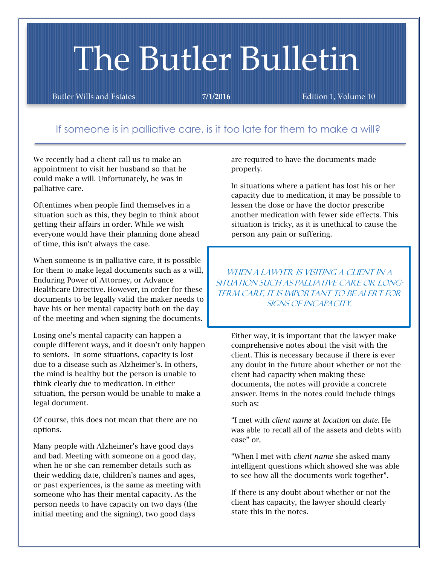# The Butler Bulletin

Butler Wills and Estates **7/1/2016** Edition 1, Volume 10

# If someone is in palliative care, is it too late for them to make a will?

We recently had a client call us to make an appointment to visit her husband so that he could make a will. Unfortunately, he was in palliative care.

Oftentimes when people find themselves in a situation such as this, they begin to think about getting their affairs in order. While we wish everyone would have their planning done ahead of time, this isn't always the case.

When someone is in palliative care, it is possible for them to make legal documents such as a will, Enduring Power of Attorney, or Advance Healthcare Directive. However, in order for these documents to be legally valid the maker needs to have his or her mental capacity both on the day of the meeting and when signing the documents.

Losing one's mental capacity can happen a couple different ways, and it doesn't only happen to seniors. In some situations, capacity is lost due to a disease such as Alzheimer's. In others, the mind is healthy but the person is unable to think clearly due to medication. In either situation, the person would be unable to make a legal document.

Of course, this does not mean that there are no options.

Many people with Alzheimer's have good days and bad. Meeting with someone on a good day, when he or she can remember details such as their wedding date, children's names and ages, or past experiences, is the same as meeting with someone who has their mental capacity. As the person needs to have capacity on two days (the initial meeting and the signing), two good days

are required to have the documents made properly.

In situations where a patient has lost his or her capacity due to medication, it may be possible to lessen the dose or have the doctor prescribe another medication with fewer side effects. This situation is tricky, as it is unethical to cause the person any pain or suffering.

when a lawyer is visiting a client in a situation such as palliative care or long-TERM CARE, IT IS IMPORTANT TO BE ALERT FOR signs of incapacity.

Either way, it is important that the lawyer make comprehensive notes about the visit with the client. This is necessary because if there is ever any doubt in the future about whether or not the client had capacity when making these documents, the notes will provide a concrete answer. Items in the notes could include things such as:

"I met with *client name* at *location* on *date*. He was able to recall all of the assets and debts with ease" or,

"When I met with *client name* she asked many intelligent questions which showed she was able to see how all the documents work together".

If there is any doubt about whether or not the client has capacity, the lawyer should clearly state this in the notes.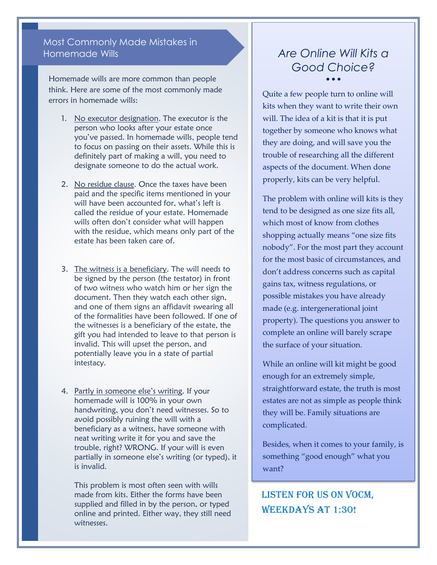## Most Commonly Made Mistakes in Homemade Wills

Homemade wills are more common than people think. Here are some of the most commonly made errors in homemade wills:

- 1. No executor designation. The executor is the person who looks after your estate once you've passed. In homemade wills, people tend to focus on passing on their assets. While this is definitely part of making a will, you need to designate someone to do the actual work.
- 2. No residue clause. Once the taxes have been paid and the specific items mentioned in your will have been accounted for, what's left is called the residue of your estate. Homemade wills often don't consider what will happen with the residue, which means only part of the estate has been taken care of.
- 3. The witness is a beneficiary. The will needs to be signed by the person (the testator) in front of two witness who watch him or her sign the document. Then they watch each other sign, and one of them signs an affidavit swearing all of the formalities have been followed. If one of the witnesses is a beneficiary of the estate, the gift you had intended to leave to that person is invalid. This will upset the person, and potentially leave you in a state of partial intestacy.
- 4. Partly in someone else's writing. If your homemade will is 100% in your own handwriting, you don't need witnesses. So to avoid possibly ruining the will with a beneficiary as a witness, have someone with neat writing write it for you and save the trouble, right? WRONG. If your will is even partially in someone else's writing (or typed), it is invalid.

This problem is most often seen with wills made from kits. Either the forms have been supplied and filled in by the person, or typed online and printed. Either way, they still need witnesses.

## *Are Online Will Kits a Good Choice?*  $\bullet \bullet \bullet$

Quite a few people turn to online will kits when they want to write their own will. The idea of a kit is that it is put together by someone who knows what they are doing, and will save you the trouble of researching all the different aspects of the document. When done properly, kits can be very helpful.

The problem with online will kits is they tend to be designed as one size fits all, which most of know from clothes shopping actually means "one size fits nobody". For the most part they account for the most basic of circumstances, and don't address concerns such as capital gains tax, witness regulations, or possible mistakes you have already made (e.g. intergenerational joint property). The questions you answer to complete an online will barely scrape the surface of your situation.

While an online will kit might be good enough for an extremely simple, straightforward estate, the truth is most estates are not as simple as people think they will be. Family situations are complicated.

Besides, when it comes to your family, is something "good enough" what you want?

# Listen for us on VOCM, WEEKDAYS AT 1:30!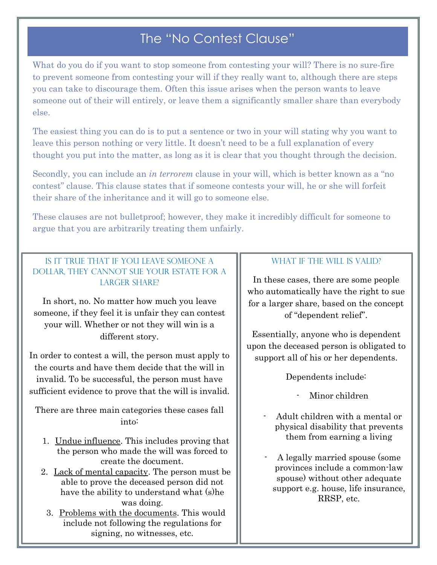# The "No Contest Clause"

What do you do if you want to stop someone from contesting your will? There is no sure-fire to prevent someone from contesting your will if they really want to, although there are steps you can take to discourage them. Often this issue arises when the person wants to leave someone out of their will entirely, or leave them a significantly smaller share than everybody else.

The easiest thing you can do is to put a sentence or two in your will stating why you want to leave this person nothing or very little. It doesn't need to be a full explanation of every thought you put into the matter, as long as it is clear that you thought through the decision.

Secondly, you can include an *in terrorem* clause in your will, which is better known as a "no contest" clause. This clause states that if someone contests your will, he or she will forfeit their share of the inheritance and it will go to someone else.

These clauses are not bulletproof; however, they make it incredibly difficult for someone to argue that you are arbitrarily treating them unfairly.

## Is it true that if you leave someone a dollar, they cannot sue your estate for a LARGER SHARE?

In short, no. No matter how much you leave someone, if they feel it is unfair they can contest your will. Whether or not they will win is a different story.

In order to contest a will, the person must apply to the courts and have them decide that the will in invalid. To be successful, the person must have sufficient evidence to prove that the will is invalid.

There are three main categories these cases fall into:

- 1. Undue influence. This includes proving that the person who made the will was forced to create the document.
- 2. Lack of mental capacity. The person must be able to prove the deceased person did not have the ability to understand what (s)he was doing.
	- 3. Problems with the documents. This would include not following the regulations for signing, no witnesses, etc.

## WHAT IF THE WILL IS VALID?

In these cases, there are some people who automatically have the right to sue for a larger share, based on the concept of "dependent relief".

Essentially, anyone who is dependent upon the deceased person is obligated to support all of his or her dependents.

Dependents include:

Minor children

- Adult children with a mental or physical disability that prevents them from earning a living
- A legally married spouse (some provinces include a common-law spouse) without other adequate support e.g. house, life insurance, RRSP, etc.